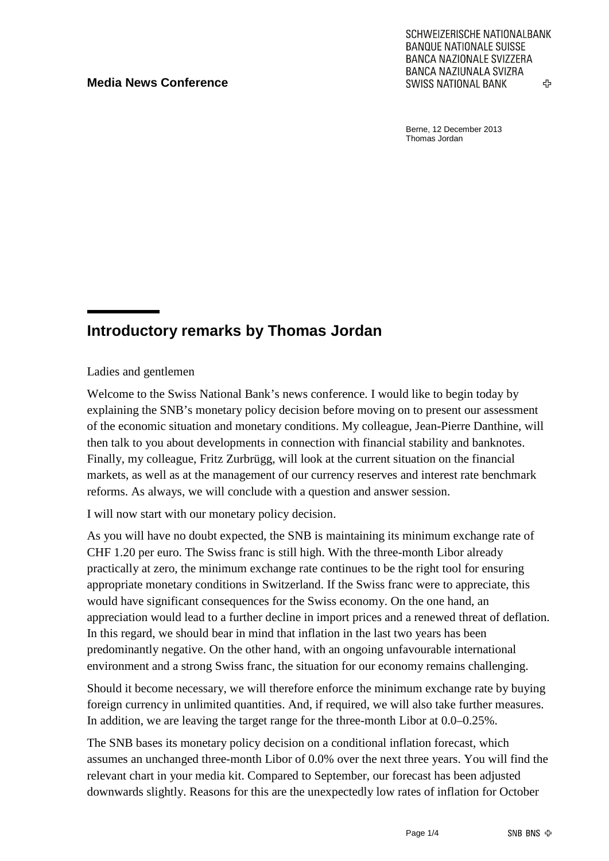#### **Media News Conference**

SCHWEIZERISCHE NATIONALBANK **BANQUE NATIONALE SUISSE BANCA NAZIONALE SVIZZERA** BANCA NAZIUNALA SVIZRA **SWISS NATIONAL BANK** ረት

Berne, 12 December 2013 Thomas Jordan

# **Introductory remarks by Thomas Jordan**

Ladies and gentlemen

Welcome to the Swiss National Bank's news conference. I would like to begin today by explaining the SNB's monetary policy decision before moving on to present our assessment of the economic situation and monetary conditions. My colleague, Jean-Pierre Danthine, will then talk to you about developments in connection with financial stability and banknotes. Finally, my colleague, Fritz Zurbrügg, will look at the current situation on the financial markets, as well as at the management of our currency reserves and interest rate benchmark reforms. As always, we will conclude with a question and answer session.

I will now start with our monetary policy decision.

As you will have no doubt expected, the SNB is maintaining its minimum exchange rate of CHF 1.20 per euro. The Swiss franc is still high. With the three-month Libor already practically at zero, the minimum exchange rate continues to be the right tool for ensuring appropriate monetary conditions in Switzerland. If the Swiss franc were to appreciate, this would have significant consequences for the Swiss economy. On the one hand, an appreciation would lead to a further decline in import prices and a renewed threat of deflation. In this regard, we should bear in mind that inflation in the last two years has been predominantly negative. On the other hand, with an ongoing unfavourable international environment and a strong Swiss franc, the situation for our economy remains challenging.

Should it become necessary, we will therefore enforce the minimum exchange rate by buying foreign currency in unlimited quantities. And, if required, we will also take further measures. In addition, we are leaving the target range for the three-month Libor at 0.0–0.25%.

The SNB bases its monetary policy decision on a conditional inflation forecast, which assumes an unchanged three-month Libor of 0.0% over the next three years. You will find the relevant chart in your media kit. Compared to September, our forecast has been adjusted downwards slightly. Reasons for this are the unexpectedly low rates of inflation for October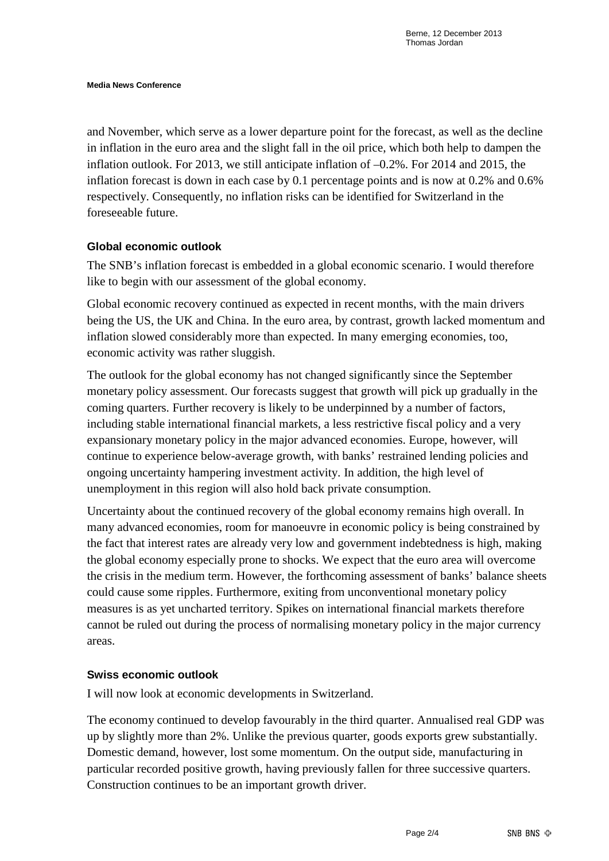and November, which serve as a lower departure point for the forecast, as well as the decline in inflation in the euro area and the slight fall in the oil price, which both help to dampen the inflation outlook. For 2013, we still anticipate inflation of –0.2%. For 2014 and 2015, the inflation forecast is down in each case by 0.1 percentage points and is now at 0.2% and 0.6% respectively. Consequently, no inflation risks can be identified for Switzerland in the foreseeable future.

#### **Global economic outlook**

The SNB's inflation forecast is embedded in a global economic scenario. I would therefore like to begin with our assessment of the global economy.

Global economic recovery continued as expected in recent months, with the main drivers being the US, the UK and China. In the euro area, by contrast, growth lacked momentum and inflation slowed considerably more than expected. In many emerging economies, too, economic activity was rather sluggish.

The outlook for the global economy has not changed significantly since the September monetary policy assessment. Our forecasts suggest that growth will pick up gradually in the coming quarters. Further recovery is likely to be underpinned by a number of factors, including stable international financial markets, a less restrictive fiscal policy and a very expansionary monetary policy in the major advanced economies. Europe, however, will continue to experience below-average growth, with banks' restrained lending policies and ongoing uncertainty hampering investment activity. In addition, the high level of unemployment in this region will also hold back private consumption.

Uncertainty about the continued recovery of the global economy remains high overall. In many advanced economies, room for manoeuvre in economic policy is being constrained by the fact that interest rates are already very low and government indebtedness is high, making the global economy especially prone to shocks. We expect that the euro area will overcome the crisis in the medium term. However, the forthcoming assessment of banks' balance sheets could cause some ripples. Furthermore, exiting from unconventional monetary policy measures is as yet uncharted territory. Spikes on international financial markets therefore cannot be ruled out during the process of normalising monetary policy in the major currency areas.

## **Swiss economic outlook**

I will now look at economic developments in Switzerland.

The economy continued to develop favourably in the third quarter. Annualised real GDP was up by slightly more than 2%. Unlike the previous quarter, goods exports grew substantially. Domestic demand, however, lost some momentum. On the output side, manufacturing in particular recorded positive growth, having previously fallen for three successive quarters. Construction continues to be an important growth driver.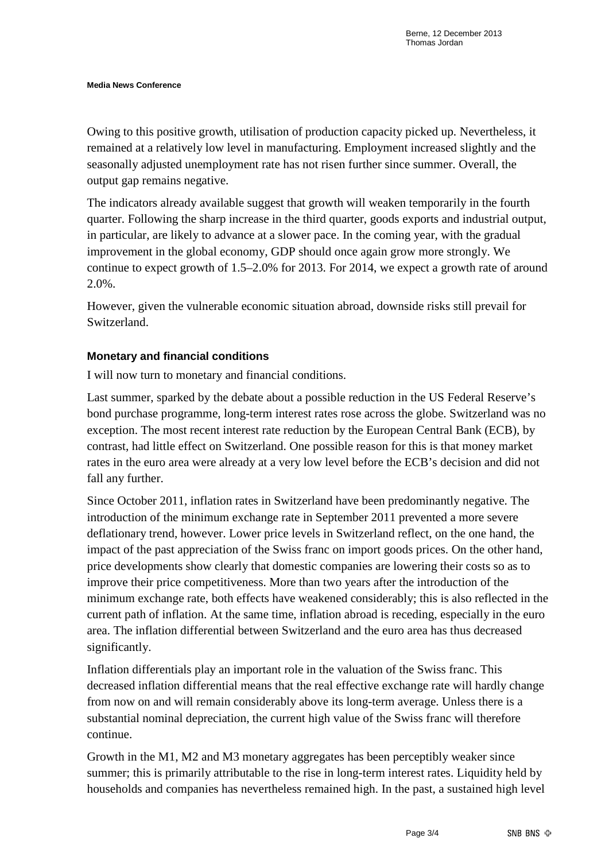Owing to this positive growth, utilisation of production capacity picked up. Nevertheless, it remained at a relatively low level in manufacturing. Employment increased slightly and the seasonally adjusted unemployment rate has not risen further since summer. Overall, the output gap remains negative.

The indicators already available suggest that growth will weaken temporarily in the fourth quarter. Following the sharp increase in the third quarter, goods exports and industrial output, in particular, are likely to advance at a slower pace. In the coming year, with the gradual improvement in the global economy, GDP should once again grow more strongly. We continue to expect growth of 1.5–2.0% for 2013. For 2014, we expect a growth rate of around 2.0%.

However, given the vulnerable economic situation abroad, downside risks still prevail for Switzerland.

## **Monetary and financial conditions**

I will now turn to monetary and financial conditions.

Last summer, sparked by the debate about a possible reduction in the US Federal Reserve's bond purchase programme, long-term interest rates rose across the globe. Switzerland was no exception. The most recent interest rate reduction by the European Central Bank (ECB), by contrast, had little effect on Switzerland. One possible reason for this is that money market rates in the euro area were already at a very low level before the ECB's decision and did not fall any further.

Since October 2011, inflation rates in Switzerland have been predominantly negative. The introduction of the minimum exchange rate in September 2011 prevented a more severe deflationary trend, however. Lower price levels in Switzerland reflect, on the one hand, the impact of the past appreciation of the Swiss franc on import goods prices. On the other hand, price developments show clearly that domestic companies are lowering their costs so as to improve their price competitiveness. More than two years after the introduction of the minimum exchange rate, both effects have weakened considerably; this is also reflected in the current path of inflation. At the same time, inflation abroad is receding, especially in the euro area. The inflation differential between Switzerland and the euro area has thus decreased significantly.

Inflation differentials play an important role in the valuation of the Swiss franc. This decreased inflation differential means that the real effective exchange rate will hardly change from now on and will remain considerably above its long-term average. Unless there is a substantial nominal depreciation, the current high value of the Swiss franc will therefore continue.

Growth in the M1, M2 and M3 monetary aggregates has been perceptibly weaker since summer; this is primarily attributable to the rise in long-term interest rates. Liquidity held by households and companies has nevertheless remained high. In the past, a sustained high level